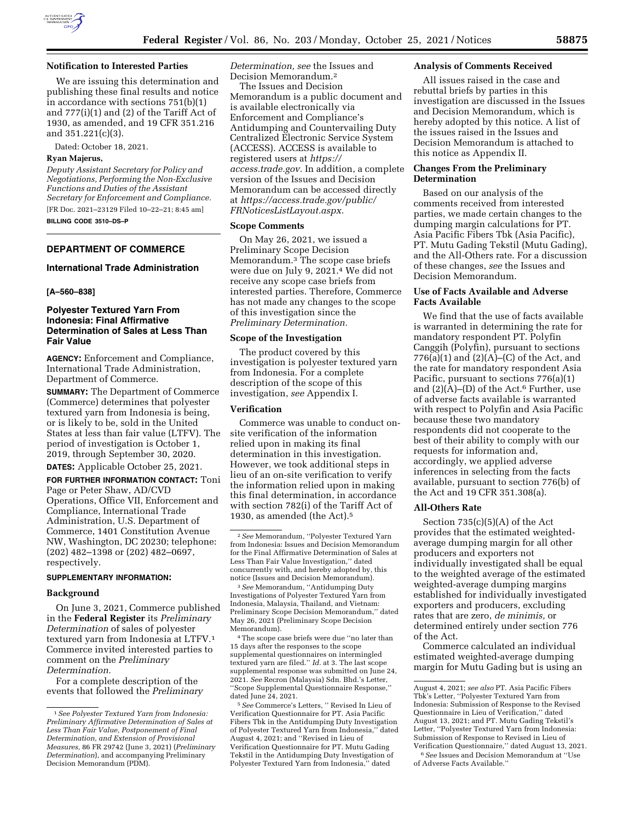

### **Notification to Interested Parties**

We are issuing this determination and publishing these final results and notice in accordance with sections 751(b)(1) and 777(i)(1) and (2) of the Tariff Act of 1930, as amended, and 19 CFR 351.216 and 351.221(c)(3).

Dated: October 18, 2021.

# **Ryan Majerus,**

*Deputy Assistant Secretary for Policy and Negotiations, Performing the Non-Exclusive Functions and Duties of the Assistant Secretary for Enforcement and Compliance.*  [FR Doc. 2021–23129 Filed 10–22–21; 8:45 am] **BILLING CODE 3510–DS–P** 

## **DEPARTMENT OF COMMERCE**

# **International Trade Administration**

#### **[A–560–838]**

# **Polyester Textured Yarn From Indonesia: Final Affirmative Determination of Sales at Less Than Fair Value**

**AGENCY:** Enforcement and Compliance, International Trade Administration, Department of Commerce.

**SUMMARY:** The Department of Commerce (Commerce) determines that polyester textured yarn from Indonesia is being, or is likely to be, sold in the United States at less than fair value (LTFV). The period of investigation is October 1, 2019, through September 30, 2020.

**DATES:** Applicable October 25, 2021.

**FOR FURTHER INFORMATION CONTACT:** Toni Page or Peter Shaw, AD/CVD Operations, Office VII, Enforcement and Compliance, International Trade Administration, U.S. Department of Commerce, 1401 Constitution Avenue NW, Washington, DC 20230; telephone: (202) 482–1398 or (202) 482–0697, respectively.

#### **SUPPLEMENTARY INFORMATION:**

### **Background**

On June 3, 2021, Commerce published in the **Federal Register** its *Preliminary Determination* of sales of polyester textured yarn from Indonesia at LTFV.1 Commerce invited interested parties to comment on the *Preliminary Determination.* 

For a complete description of the events that followed the *Preliminary*  *Determination, see* the Issues and Decision Memorandum.2

The Issues and Decision Memorandum is a public document and is available electronically via Enforcement and Compliance's Antidumping and Countervailing Duty Centralized Electronic Service System (ACCESS). ACCESS is available to registered users at *[https://](https://access.trade.gov) [access.trade.gov.](https://access.trade.gov)* In addition, a complete version of the Issues and Decision Memorandum can be accessed directly at *[https://access.trade.gov/public/](https://access.trade.gov/public/FRNoticesListLayout.aspx)  [FRNoticesListLayout.aspx.](https://access.trade.gov/public/FRNoticesListLayout.aspx)* 

## **Scope Comments**

On May 26, 2021, we issued a Preliminary Scope Decision Memorandum.3 The scope case briefs were due on July 9, 2021.4 We did not receive any scope case briefs from interested parties. Therefore, Commerce has not made any changes to the scope of this investigation since the *Preliminary Determination.* 

#### **Scope of the Investigation**

The product covered by this investigation is polyester textured yarn from Indonesia. For a complete description of the scope of this investigation, *see* Appendix I.

## **Verification**

Commerce was unable to conduct onsite verification of the information relied upon in making its final determination in this investigation. However, we took additional steps in lieu of an on-site verification to verify the information relied upon in making this final determination, in accordance with section 782(i) of the Tariff Act of 1930, as amended (the Act).5

3*See* Memorandum, ''Antidumping Duty Investigations of Polyester Textured Yarn from Indonesia, Malaysia, Thailand, and Vietnam: Preliminary Scope Decision Memorandum,'' dated May 26, 2021 (Preliminary Scope Decision Memorandum).

4The scope case briefs were due ''no later than 15 days after the responses to the scope supplemental questionnaires on intermingled textured yarn are filed.'' *Id.* at 3. The last scope supplemental response was submitted on June 24, 2021. *See* Recron (Malaysia) Sdn. Bhd.'s Letter, ''Scope Supplemental Questionnaire Response,'' dated June 24, 2021.

#### **Analysis of Comments Received**

All issues raised in the case and rebuttal briefs by parties in this investigation are discussed in the Issues and Decision Memorandum, which is hereby adopted by this notice. A list of the issues raised in the Issues and Decision Memorandum is attached to this notice as Appendix II.

## **Changes From the Preliminary Determination**

Based on our analysis of the comments received from interested parties, we made certain changes to the dumping margin calculations for PT. Asia Pacific Fibers Tbk (Asia Pacific), PT. Mutu Gading Tekstil (Mutu Gading), and the All-Others rate. For a discussion of these changes, *see* the Issues and Decision Memorandum.

# **Use of Facts Available and Adverse Facts Available**

We find that the use of facts available is warranted in determining the rate for mandatory respondent PT. Polyfin Canggih (Polyfin), pursuant to sections  $776(a)(1)$  and  $(2)(A)$ – $(C)$  of the Act, and the rate for mandatory respondent Asia Pacific, pursuant to sections 776(a)(1) and  $(2)(A)$ –(D) of the Act.<sup>6</sup> Further, use of adverse facts available is warranted with respect to Polyfin and Asia Pacific because these two mandatory respondents did not cooperate to the best of their ability to comply with our requests for information and, accordingly, we applied adverse inferences in selecting from the facts available, pursuant to section 776(b) of the Act and 19 CFR 351.308(a).

## **All-Others Rate**

Section  $735(c)(5)(A)$  of the Act provides that the estimated weightedaverage dumping margin for all other producers and exporters not individually investigated shall be equal to the weighted average of the estimated weighted-average dumping margins established for individually investigated exporters and producers, excluding rates that are zero, *de minimis,* or determined entirely under section 776 of the Act.

Commerce calculated an individual estimated weighted-average dumping margin for Mutu Gading but is using an

<sup>1</sup>*See Polyester Textured Yarn from Indonesia: Preliminary Affirmative Determination of Sales at Less Than Fair Value, Postponement of Final Determination, and Extension of Provisional Measures,* 86 FR 29742 (June 3, 2021) (*Preliminary Determination*), and accompanying Preliminary Decision Memorandum (PDM).

<sup>2</sup>*See* Memorandum, ''Polyester Textured Yarn from Indonesia: Issues and Decision Memorandum for the Final Affirmative Determination of Sales at Less Than Fair Value Investigation,'' dated concurrently with, and hereby adopted by, this notice (Issues and Decision Memorandum).

<sup>5</sup>*See* Commerce's Letters, '' Revised In Lieu of Verification Questionnaire for PT. Asia Pacific Fibers Tbk in the Antidumping Duty Investigation of Polyester Textured Yarn from Indonesia,'' dated August 4, 2021; and ''Revised in Lieu of Verification Questionnaire for PT. Mutu Gading Tekstil in the Antidumping Duty Investigation of Polyester Textured Yarn from Indonesia,'' dated

August 4, 2021; *see also* PT. Asia Pacific Fibers Tbk's Letter, ''Polyester Textured Yarn from Indonesia: Submission of Response to the Revised Questionnaire in Lieu of Verification,'' dated August 13, 2021; and PT. Mutu Gading Tekstil's Letter, ''Polyester Textured Yarn from Indonesia: Submission of Response to Revised in Lieu of Verification Questionnaire,'' dated August 13, 2021.

<sup>6</sup>*See* Issues and Decision Memorandum at ''Use of Adverse Facts Available.''